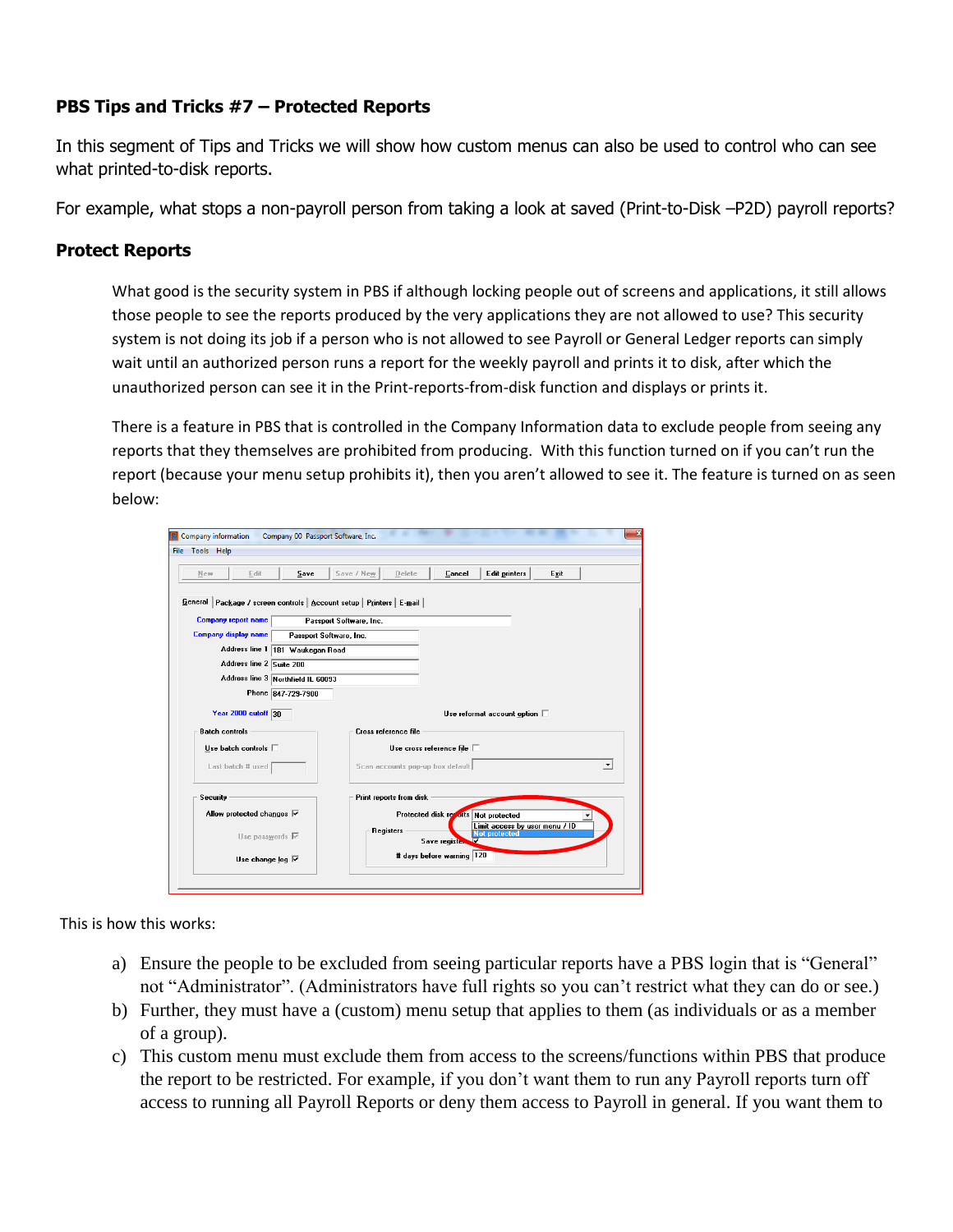## **PBS Tips and Tricks #7 – Protected Reports**

In this segment of Tips and Tricks we will show how custom menus can also be used to control who can see what printed-to-disk reports.

For example, what stops a non-payroll person from taking a look at saved (Print-to-Disk –P2D) payroll reports?

## **Protect Reports**

What good is the security system in PBS if although locking people out of screens and applications, it still allows those people to see the reports produced by the very applications they are not allowed to use? This security system is not doing its job if a person who is not allowed to see Payroll or General Ledger reports can simply wait until an authorized person runs a report for the weekly payroll and prints it to disk, after which the unauthorized person can see it in the Print-reports-from-disk function and displays or prints it.

There is a feature in PBS that is controlled in the Company Information data to exclude people from seeing any reports that they themselves are prohibited from producing. With this function turned on if you can't run the report (because your menu setup prohibits it), then you aren't allowed to see it. The feature is turned on as seen below:

| Edit<br>Save<br>New                                                     | Save / New<br>Edit printers  <br>Delete<br>Cancel<br>Exit                                     |
|-------------------------------------------------------------------------|-----------------------------------------------------------------------------------------------|
|                                                                         |                                                                                               |
| General   Package / screen controls   Account setup   Printers   E-mail |                                                                                               |
| <b>Company report name</b>                                              | Passport Software, Inc.                                                                       |
| <b>Company display name</b>                                             | Passport Software, Inc.                                                                       |
| Address line 1 181 Waukegan Road                                        |                                                                                               |
| Address line 2 Suite 200                                                |                                                                                               |
| Address line 3 Northfield IL 60093                                      |                                                                                               |
| Phone 847-729-7900                                                      |                                                                                               |
| Year 2000 cutoff 30                                                     | Use reformat account option $\Box$                                                            |
| <b>Batch controls</b>                                                   | Cross reference file                                                                          |
| Use batch controls $\square$                                            | Use cross reference file $\Box$                                                               |
| Last batch # used                                                       | Scan accounts pop-up box default<br>$\blacktriangledown$                                      |
| Security                                                                | Print reports from disk                                                                       |
| Allow protected changes $\nabla$                                        | Protected disk resorts Not protected                                                          |
| Use passwords $\nabla$                                                  | Limit access by user menu / ID<br><b>Registers</b><br><b>Not protected</b><br>Save register V |
| Use change log $\overline{\vee}$                                        | # days before warning 120                                                                     |

This is how this works:

- a) Ensure the people to be excluded from seeing particular reports have a PBS login that is "General" not "Administrator". (Administrators have full rights so you can't restrict what they can do or see.)
- b) Further, they must have a (custom) menu setup that applies to them (as individuals or as a member of a group).
- c) This custom menu must exclude them from access to the screens/functions within PBS that produce the report to be restricted. For example, if you don't want them to run any Payroll reports turn off access to running all Payroll Reports or deny them access to Payroll in general. If you want them to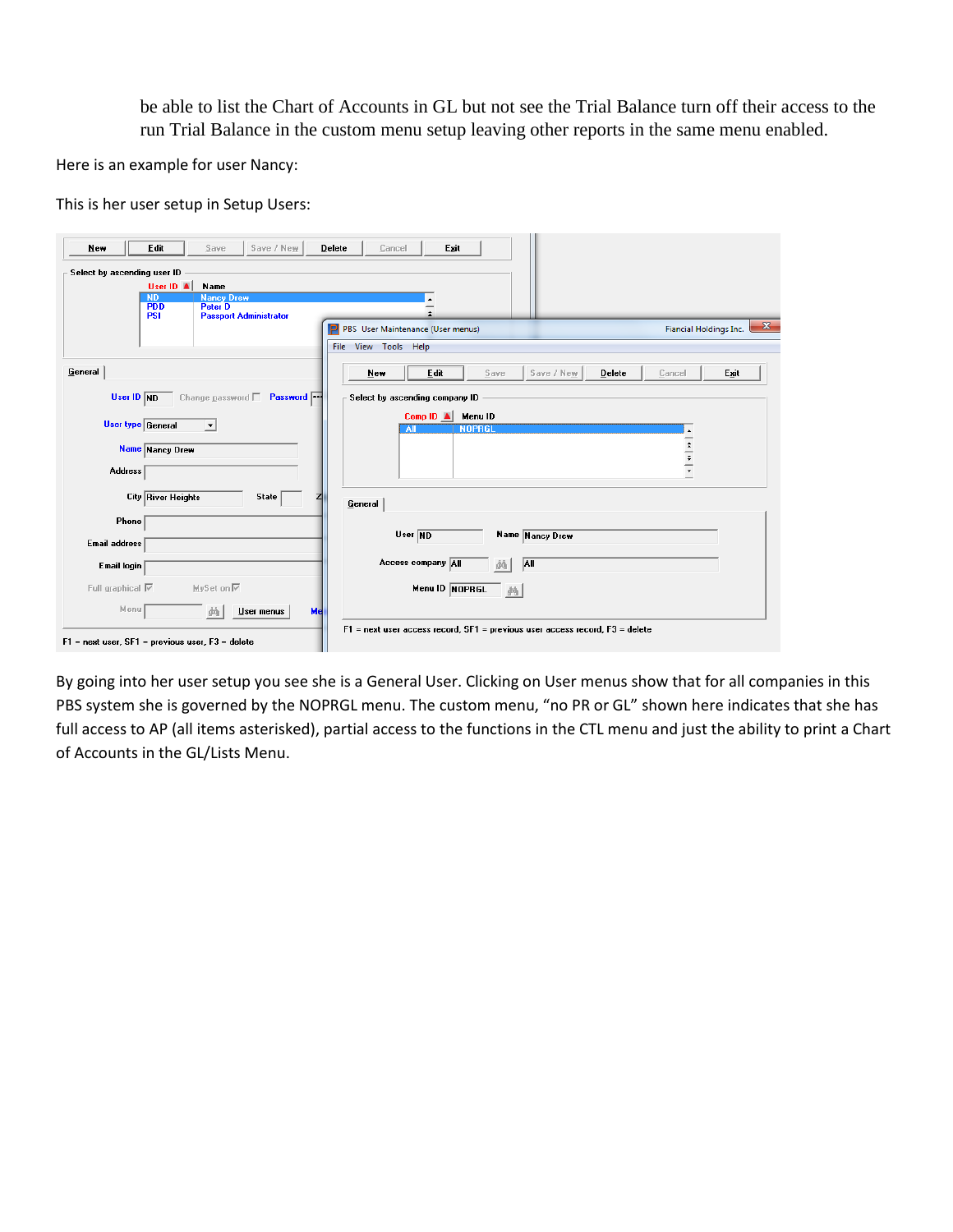be able to list the Chart of Accounts in GL but not see the Trial Balance turn off their access to the run Trial Balance in the custom menu setup leaving other reports in the same menu enabled.

Here is an example for user Nancy:

This is her user setup in Setup Users:

| New<br>Select by ascending user ID | Edit                      | Save                                            | Save / New                      | Delete | Cancel               | Exit                              |               |                 |        |        |                                               |
|------------------------------------|---------------------------|-------------------------------------------------|---------------------------------|--------|----------------------|-----------------------------------|---------------|-----------------|--------|--------|-----------------------------------------------|
|                                    | User ID A                 | Name                                            |                                 |        |                      |                                   |               |                 |        |        |                                               |
|                                    | <b>ND</b>                 | <b>Nancy Drew</b>                               |                                 |        |                      |                                   |               |                 |        |        |                                               |
|                                    | <b>PDD</b><br><b>PSI</b>  | <b>Peter D</b><br><b>Passport Administrator</b> |                                 |        |                      |                                   |               |                 |        |        |                                               |
|                                    |                           |                                                 |                                 | P      |                      | PBS User Maintenance (User menus) |               |                 |        |        | $\mathbf{x}$<br><b>Fiancial Holdings Inc.</b> |
|                                    |                           |                                                 |                                 |        | File View Tools Help |                                   |               |                 |        |        |                                               |
| General                            |                           |                                                 |                                 |        | $New$                | Edit                              | Save          | Save / New      | Delete | Cancel | Exit                                          |
| User ID ND                         |                           |                                                 | Change password <b>Password</b> |        |                      | Select by ascending company ID    |               |                 |        |        |                                               |
|                                    |                           |                                                 |                                 |        |                      | Comp ID A Menu ID                 |               |                 |        |        |                                               |
|                                    | <b>User type General</b>  | $\blacktriangledown$                            |                                 |        |                      | ΑII                               | <b>NOPRGI</b> |                 |        |        |                                               |
|                                    | Name Nancy Drew           |                                                 |                                 |        |                      |                                   |               |                 |        |        |                                               |
| <b>Address</b>                     |                           |                                                 |                                 |        |                      |                                   |               |                 |        |        |                                               |
|                                    | <b>City River Heights</b> |                                                 | <b>State</b>                    |        | General              |                                   |               |                 |        |        |                                               |
|                                    |                           |                                                 |                                 |        |                      |                                   |               |                 |        |        |                                               |
| Phone                              |                           |                                                 |                                 |        |                      |                                   |               |                 |        |        |                                               |
|                                    |                           |                                                 |                                 |        |                      | User ND                           |               | Name Nancy Drew |        |        |                                               |
| <b>Email address</b>               |                           |                                                 |                                 |        |                      |                                   |               |                 |        |        |                                               |
| Email login                        |                           |                                                 |                                 |        |                      | Access company All                | 繭             | AII             |        |        |                                               |
| Full graphical $\overline{\vee}$   |                           | MySet on Ⅳ                                      |                                 |        |                      | Menu ID NOPRGL                    | 菛             |                 |        |        |                                               |
| Menu                               |                           | 确                                               | User menus                      | Me     |                      |                                   |               |                 |        |        |                                               |

By going into her user setup you see she is a General User. Clicking on User menus show that for all companies in this PBS system she is governed by the NOPRGL menu. The custom menu, "no PR or GL" shown here indicates that she has full access to AP (all items asterisked), partial access to the functions in the CTL menu and just the ability to print a Chart of Accounts in the GL/Lists Menu.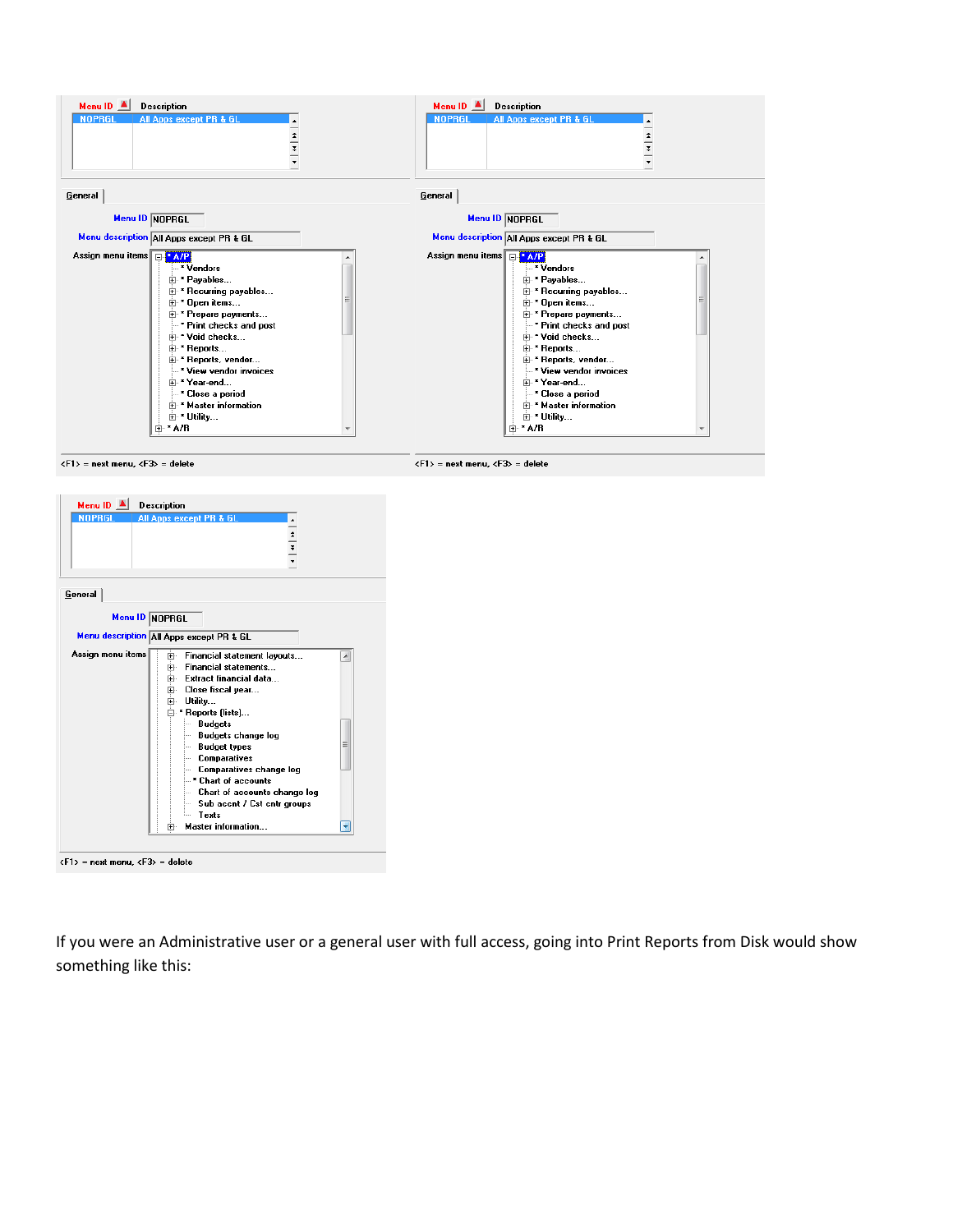

| <b>NOPRGL</b><br>All Apps except PR & GL<br>$\frac{1}{\tau}$ $\frac{1}{\tau}$                                                                                                                                                                                                                                                                                                                                                                                                                        |  |
|------------------------------------------------------------------------------------------------------------------------------------------------------------------------------------------------------------------------------------------------------------------------------------------------------------------------------------------------------------------------------------------------------------------------------------------------------------------------------------------------------|--|
| General                                                                                                                                                                                                                                                                                                                                                                                                                                                                                              |  |
| Menu ID NOPRGL<br>Menu description all Apps except PR & GL                                                                                                                                                                                                                                                                                                                                                                                                                                           |  |
| Assign menu items<br><b>Financial statement lavouts</b><br>中…<br>Ä<br><b>Financial statements</b><br>l∓⊡<br>中 Extract financial data<br>⊞- Close fiscal year<br>由 Utility<br>⊟ * Reports (lists)<br><b>Budgets</b><br>i<br><b>Budgets change log</b><br><b>Beach</b><br>Ξ<br><b>Budget types</b><br><u>i</u><br>- Comparatives<br>- Comparatives change log<br>$-$ " Chart of accounts<br>Chart of accounts change log<br>Sub accnt / Cst cntr groups<br>i<br>Texts<br>i<br>Master information<br>田… |  |

If you were an Administrative user or a general user with full access, going into Print Reports from Disk would show something like this: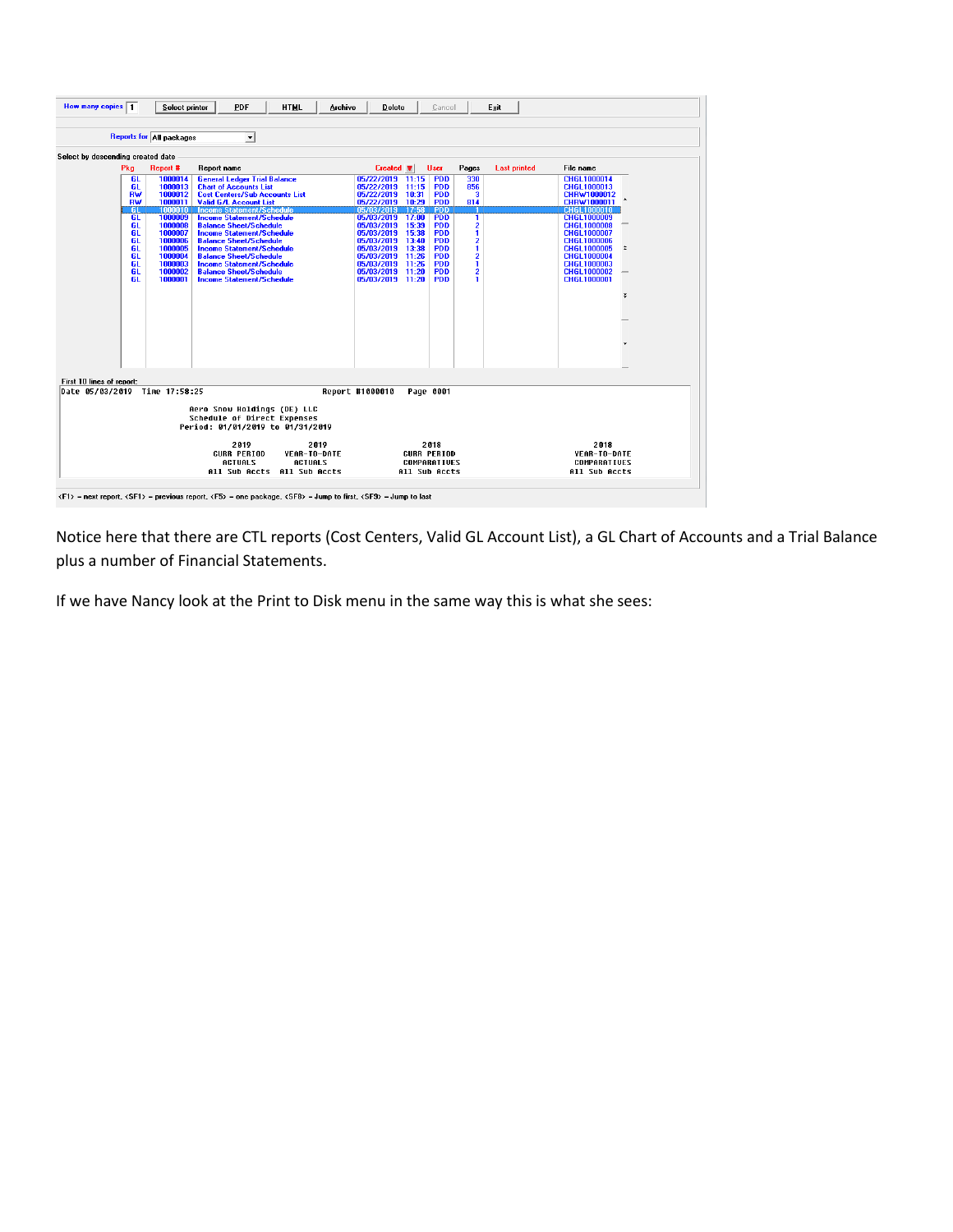| How many copies $\boxed{1}$       |                 | Select printer                  | PDF<br><b>HTML</b><br>Archive                                                                                                            | <b>Delete</b><br>Cancel                                             | Exit                         |                                   |
|-----------------------------------|-----------------|---------------------------------|------------------------------------------------------------------------------------------------------------------------------------------|---------------------------------------------------------------------|------------------------------|-----------------------------------|
|                                   |                 | <b>Reports for All packages</b> | $\blacktriangledown$                                                                                                                     |                                                                     |                              |                                   |
| Select by descending created date |                 |                                 |                                                                                                                                          |                                                                     |                              |                                   |
|                                   | Pka             | <b>Report #</b>                 | Report name                                                                                                                              | $Create \n$<br><b>User</b>                                          | Pages<br><b>Last printed</b> | File name                         |
|                                   | <b>GL</b>       | 1000014                         | <b>General Ledger Trial Balance</b>                                                                                                      | <b>PDD</b><br>05/22/2019 11:15                                      | 330                          | CHGL1000014                       |
|                                   | GL.             | 1000013                         | <b>Chart of Accounts List</b>                                                                                                            | 05/22/2019<br>11:15<br><b>PDD</b>                                   | 856                          | CHGL1000013                       |
|                                   | RW              | 1000012                         | <b>Cost Centers/Sub Accounts List</b>                                                                                                    | <b>PDD</b><br>05/22/2019 10:31                                      | з                            | CHRW1000012                       |
|                                   | RW<br><b>GI</b> | 1000011<br>1000010              | <b>Valid G/L Account List</b><br><b>Income Statement/Schedule</b>                                                                        | 05/22/2019 10:29<br><b>PDD</b><br><b>PDD</b><br>05/03/2019<br>17:58 | 814                          | CHRW1000011<br><b>CHGL1000010</b> |
|                                   | <b>GL</b>       | 1000009                         | <b>Income Statement/Schedule</b>                                                                                                         | 05/03/2019 17:00<br><b>PDD</b>                                      | T                            | <b>CHGL1000009</b>                |
|                                   | GL              | 1000008                         | <b>Balance Sheet/Schedule</b>                                                                                                            | 05/03/2019<br>15:39<br><b>PDD</b>                                   |                              | CHGL1000008                       |
|                                   | GL              | 1000007                         | <b>Income Statement/Schedule</b>                                                                                                         | 05/03/2019<br>15:38<br><b>PDD</b>                                   | $\frac{2}{1}$                | <b>CHGL1000007</b>                |
|                                   | <b>GL</b>       | 1000006                         | <b>Balance Sheet/Schedule</b>                                                                                                            | <b>PDD</b><br>05/03/2019<br>13:40                                   |                              | <b>CHGL1000006</b>                |
|                                   | GL              | 1000005                         | <b>Income Statement/Schedule</b>                                                                                                         | 05/03/2019<br><b>PDD</b><br>13:38                                   | $\frac{2}{1}$                | CHGL1000005<br>$\hat{z}$          |
|                                   | GL              | 1000004                         | <b>Balance Sheet/Schedule</b>                                                                                                            | <b>PDD</b><br>05/03/2019<br>11:26                                   | $\frac{2}{1}$                | CHGL1000004                       |
|                                   | <b>GL</b>       | 1000003                         | <b>Income Statement/Schedule</b>                                                                                                         | 05/03/2019<br>11:26<br><b>PDD</b>                                   |                              | CHGL1000003                       |
|                                   | <b>GL</b>       | 1000002                         | <b>Balance Sheet/Schedule</b>                                                                                                            | 05/03/2019<br>11:20<br><b>PDD</b>                                   | $\overline{2}$               | <b>CHGL1000002</b>                |
|                                   | GL.             | 1000001                         | <b>Income Statement/Schedule</b>                                                                                                         | <b>PDD</b><br>05/03/2019 11:20                                      | 1                            | CHGL1000001                       |
|                                   |                 |                                 |                                                                                                                                          |                                                                     |                              |                                   |
|                                   |                 |                                 |                                                                                                                                          |                                                                     |                              | ₹                                 |
|                                   |                 |                                 |                                                                                                                                          |                                                                     |                              |                                   |
|                                   |                 |                                 |                                                                                                                                          |                                                                     |                              |                                   |
|                                   |                 |                                 |                                                                                                                                          |                                                                     |                              |                                   |
|                                   |                 |                                 |                                                                                                                                          |                                                                     |                              |                                   |
|                                   |                 |                                 |                                                                                                                                          |                                                                     |                              |                                   |
|                                   |                 |                                 |                                                                                                                                          |                                                                     |                              |                                   |
|                                   |                 |                                 |                                                                                                                                          |                                                                     |                              |                                   |
|                                   |                 |                                 |                                                                                                                                          |                                                                     |                              |                                   |
| First 10 lines of report:         |                 |                                 |                                                                                                                                          |                                                                     |                              |                                   |
|                                   |                 | Date 05/03/2019 Time 17:58:25   |                                                                                                                                          | Report #1000010<br>Page 0001                                        |                              |                                   |
|                                   |                 |                                 | Aero Snow Holdings (DE) LLC<br>Schedule of Direct Expenses<br>Period: 01/01/2019 to 01/31/2019                                           |                                                                     |                              |                                   |
|                                   |                 |                                 | 2019<br>2019                                                                                                                             | 2018                                                                |                              | 2018                              |
|                                   |                 |                                 | <b>CURR PERIOD</b><br>YEAR-TO-DATE                                                                                                       | <b>CURR PERIOD</b>                                                  |                              | YEAR-TO-DATE                      |
|                                   |                 |                                 | <b>ACTUALS</b><br><b>ACTUALS</b>                                                                                                         | COMPARATIVES                                                        |                              | COMPARATIVES                      |
|                                   |                 |                                 | All Sub Accts All Sub Accts                                                                                                              | All Sub Accts                                                       |                              | All Sub Accts                     |
|                                   |                 |                                 |                                                                                                                                          |                                                                     |                              |                                   |
|                                   |                 |                                 |                                                                                                                                          |                                                                     |                              |                                   |
|                                   |                 |                                 | <f1> = next report, <sf1> = previous report, <f5> = one package, <sf8> = Jump to first, <sf9> = Jump to last</sf9></sf8></f5></sf1></f1> |                                                                     |                              |                                   |

Notice here that there are CTL reports (Cost Centers, Valid GL Account List), a GL Chart of Accounts and a Trial Balance plus a number of Financial Statements.

If we have Nancy look at the Print to Disk menu in the same way this is what she sees: